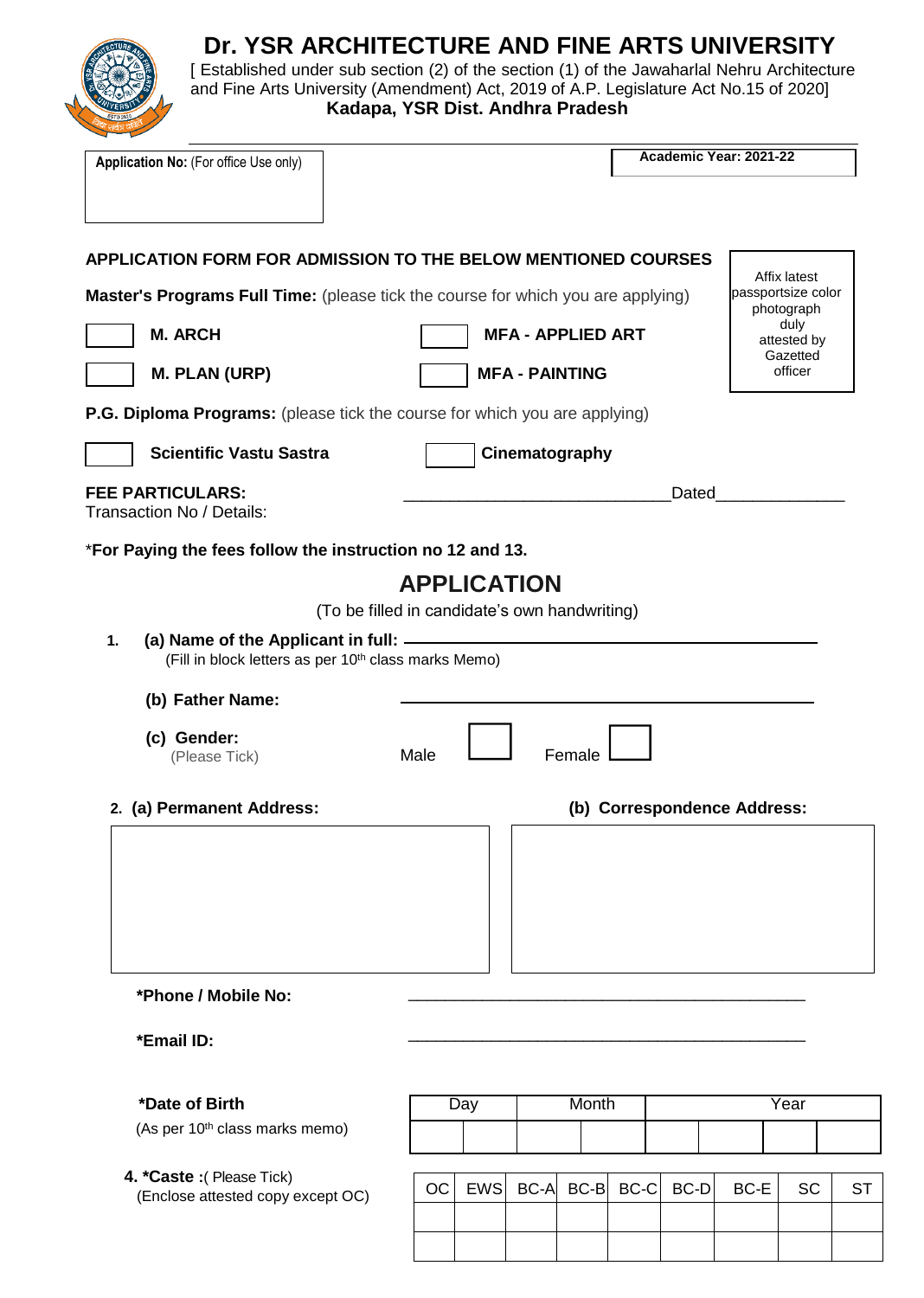

# **Dr. YSR ARCHITECTURE AND FINE ARTS UNIVERSITY**

[ Established under sub section (2) of the section (1) of the Jawaharlal Nehru Architecture and Fine Arts University (Amendment) Act, 2019 of A.P. Legislature Act No.15 of 2020]  **Kadapa, YSR Dist. Andhra Pradesh**

| Application No: (For office Use only)                                                                               |                                               |            | Academic Year: 2021-22   |                |       |                             |                                  |    |
|---------------------------------------------------------------------------------------------------------------------|-----------------------------------------------|------------|--------------------------|----------------|-------|-----------------------------|----------------------------------|----|
|                                                                                                                     |                                               |            |                          |                |       |                             |                                  |    |
| <b>APPLICATION FORM FOR ADMISSION TO THE BELOW MENTIONED COURSES</b>                                                |                                               |            |                          |                |       |                             | Affix latest                     |    |
| <b>Master's Programs Full Time:</b> (please tick the course for which you are applying)                             |                                               |            |                          |                |       |                             | passportsize color<br>photograph |    |
| <b>M. ARCH</b>                                                                                                      |                                               |            | <b>MFA - APPLIED ART</b> |                |       |                             | duly<br>attested by              |    |
| <b>M. PLAN (URP)</b>                                                                                                |                                               |            | <b>MFA - PAINTING</b>    |                |       |                             | Gazetted<br>officer              |    |
| P.G. Diploma Programs: (please tick the course for which you are applying)                                          |                                               |            |                          |                |       |                             |                                  |    |
| <b>Scientific Vastu Sastra</b>                                                                                      |                                               |            | Cinematography           |                |       |                             |                                  |    |
| <b>FEE PARTICULARS:</b><br>Transaction No / Details:                                                                |                                               |            |                          |                | Dated |                             |                                  |    |
| *For Paying the fees follow the instruction no 12 and 13.                                                           |                                               |            |                          |                |       |                             |                                  |    |
|                                                                                                                     | <b>APPLICATION</b>                            |            |                          |                |       |                             |                                  |    |
|                                                                                                                     | (To be filled in candidate's own handwriting) |            |                          |                |       |                             |                                  |    |
| (a) Name of the Applicant in full: ______<br>1.<br>(Fill in block letters as per 10 <sup>th</sup> class marks Memo) |                                               |            |                          |                |       |                             |                                  |    |
| (b) Father Name:                                                                                                    |                                               |            |                          |                |       |                             |                                  |    |
| (c) Gender:<br>(Please Tick)                                                                                        | Male                                          |            | Female                   |                |       |                             |                                  |    |
| 2. (a) Permanent Address:                                                                                           |                                               |            |                          |                |       | (b) Correspondence Address: |                                  |    |
|                                                                                                                     |                                               |            |                          |                |       |                             |                                  |    |
| *Phone / Mobile No:                                                                                                 |                                               |            |                          |                |       |                             |                                  |    |
| *Email ID:                                                                                                          |                                               |            |                          |                |       |                             |                                  |    |
| *Date of Birth                                                                                                      |                                               | Day        | Month                    |                |       |                             | Year                             |    |
| (As per 10 <sup>th</sup> class marks memo)                                                                          |                                               |            |                          |                |       |                             |                                  |    |
| 4. *Caste : (Please Tick)<br>(Enclose attested copy except OC)                                                      | OC                                            | <b>EWS</b> |                          | BC-A BC-B BC-C | BC-D  | BC-E                        | <b>SC</b>                        | ST |
|                                                                                                                     |                                               |            |                          |                |       |                             |                                  |    |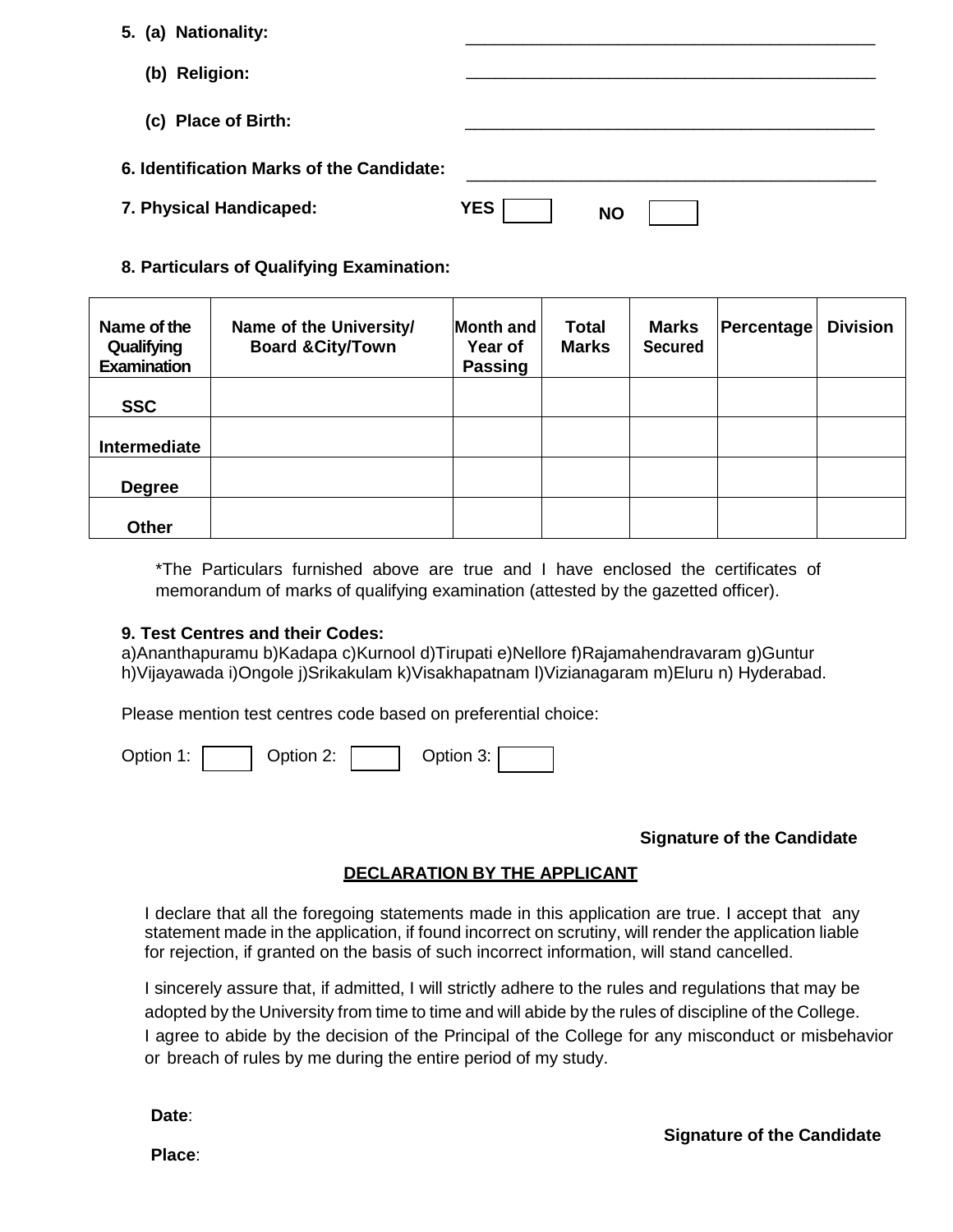|  | 5. (a) Nationality: |  |
|--|---------------------|--|
|  |                     |  |

- **(b) Religion:**
- **(c) Place of Birth:**
- **6. Identification Marks of the Candidate:**
- **7. Physical Handicaped:** YI

\_\_\_\_\_\_\_\_\_\_\_\_\_\_\_\_\_\_\_\_\_\_\_\_\_\_\_\_\_\_\_\_\_\_\_\_\_\_\_\_\_\_\_

\_\_\_\_\_\_\_\_\_\_\_\_\_\_\_\_\_\_\_\_\_\_\_\_\_\_\_\_\_\_\_\_\_\_\_\_\_\_\_\_\_\_\_

\_\_\_\_\_\_\_\_\_\_\_\_\_\_\_\_\_\_\_\_\_\_\_\_\_\_\_\_\_\_\_\_\_\_\_\_\_\_\_\_\_\_\_

\_\_\_\_\_\_\_\_\_\_\_\_\_\_\_\_\_\_\_\_\_\_\_\_\_\_\_\_\_\_\_\_\_\_\_\_\_\_\_\_\_\_\_

#### **8. Particulars of Qualifying Examination:**

| Name of the<br>Qualifying<br><b>Examination</b> | Name of the University/<br><b>Board &amp; City/Town</b> | Month and<br>Year of<br><b>Passing</b> | <b>Total</b><br><b>Marks</b> | <b>Marks</b><br><b>Secured</b> | <b>Percentage</b> | <b>Division</b> |
|-------------------------------------------------|---------------------------------------------------------|----------------------------------------|------------------------------|--------------------------------|-------------------|-----------------|
| <b>SSC</b>                                      |                                                         |                                        |                              |                                |                   |                 |
| Intermediate                                    |                                                         |                                        |                              |                                |                   |                 |
| <b>Degree</b>                                   |                                                         |                                        |                              |                                |                   |                 |
| <b>Other</b>                                    |                                                         |                                        |                              |                                |                   |                 |

\*The Particulars furnished above are true and I have enclosed the certificates of memorandum of marks of qualifying examination (attested by the gazetted officer).

#### **9. Test Centres and their Codes:**

a)Ananthapuramu b)Kadapa c)Kurnool d)Tirupati e)Nellore f)Rajamahendravaram g)Guntur h)Vijayawada i)Ongole j)Srikakulam k)Visakhapatnam l)Vizianagaram m)Eluru n) Hyderabad.

Please mention test centres code based on preferential choice:

Option 1: | | Option 2: | | Option 3:

## **Signature of the Candidate**

## **DECLARATION BY THE APPLICANT**

I declare that all the foregoing statements made in this application are true. I accept that any statement made in the application, if found incorrect on scrutiny, will render the application liable for rejection, if granted on the basis of such incorrect information, will stand cancelled.

I sincerely assure that, if admitted, I will strictly adhere to the rules and regulations that may be adopted by the University from time to time and will abide by the rules of discipline of the College. I agree to abide by the decision of the Principal of the College for any misconduct or misbehavior or breach of rules by me during the entire period of my study.

**Date**:

**Place**: